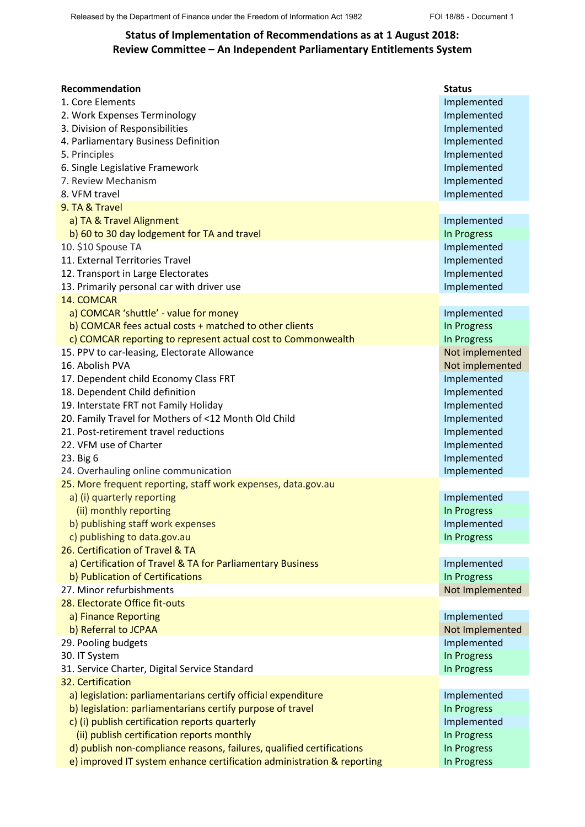## **Status of Implementation of Recommendations as at 1 August 2018: Review Committee – An Independent Parliamentary Entitlements System**

| <b>Recommendation</b>                                                  | <b>Status</b>   |
|------------------------------------------------------------------------|-----------------|
| 1. Core Elements                                                       | Implemented     |
| 2. Work Expenses Terminology                                           | Implemented     |
| 3. Division of Responsibilities                                        | Implemented     |
| 4. Parliamentary Business Definition                                   | Implemented     |
| 5. Principles                                                          | Implemented     |
| 6. Single Legislative Framework                                        | Implemented     |
| 7. Review Mechanism                                                    | Implemented     |
| 8. VFM travel                                                          | Implemented     |
| 9. TA & Travel                                                         |                 |
| a) TA & Travel Alignment                                               | Implemented     |
| b) 60 to 30 day lodgement for TA and travel                            | In Progress     |
| 10. \$10 Spouse TA                                                     | Implemented     |
| 11. External Territories Travel                                        | Implemented     |
| 12. Transport in Large Electorates                                     | Implemented     |
| 13. Primarily personal car with driver use                             | Implemented     |
| 14. COMCAR                                                             |                 |
| a) COMCAR 'shuttle' - value for money                                  | Implemented     |
| b) COMCAR fees actual costs + matched to other clients                 | In Progress     |
| c) COMCAR reporting to represent actual cost to Commonwealth           | In Progress     |
| 15. PPV to car-leasing, Electorate Allowance                           | Not implemented |
| 16. Abolish PVA                                                        | Not implemented |
| 17. Dependent child Economy Class FRT                                  | Implemented     |
| 18. Dependent Child definition                                         | Implemented     |
| 19. Interstate FRT not Family Holiday                                  | Implemented     |
| 20. Family Travel for Mothers of <12 Month Old Child                   | Implemented     |
| 21. Post-retirement travel reductions                                  | Implemented     |
| 22. VFM use of Charter                                                 | Implemented     |
| 23. Big 6                                                              | Implemented     |
| 24. Overhauling online communication                                   | Implemented     |
| 25. More frequent reporting, staff work expenses, data.gov.au          |                 |
| a) (i) quarterly reporting                                             | Implemented     |
| (ii) monthly reporting                                                 | In Progress     |
| b) publishing staff work expenses                                      | Implemented     |
| c) publishing to data.gov.au                                           | In Progress     |
| 26. Certification of Travel & TA                                       |                 |
| a) Certification of Travel & TA for Parliamentary Business             | Implemented     |
| b) Publication of Certifications                                       | In Progress     |
| 27. Minor refurbishments                                               | Not Implemented |
| 28. Electorate Office fit-outs                                         |                 |
| a) Finance Reporting                                                   | Implemented     |
| b) Referral to JCPAA                                                   | Not Implemented |
| 29. Pooling budgets                                                    | Implemented     |
| 30. IT System                                                          | In Progress     |
| 31. Service Charter, Digital Service Standard                          | In Progress     |
| 32. Certification                                                      |                 |
| a) legislation: parliamentarians certify official expenditure          | Implemented     |
| b) legislation: parliamentarians certify purpose of travel             | In Progress     |
| c) (i) publish certification reports quarterly                         | Implemented     |
| (ii) publish certification reports monthly                             | In Progress     |
| d) publish non-compliance reasons, failures, qualified certifications  | In Progress     |
| e) improved IT system enhance certification administration & reporting | In Progress     |